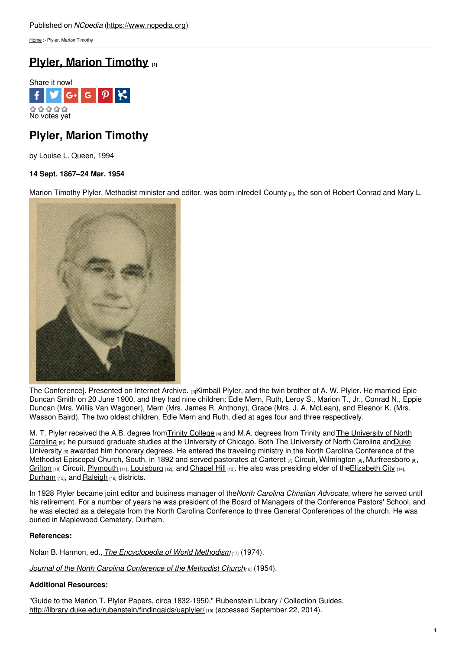[Home](https://www.ncpedia.org/) > Plyler, Marion Timothy

## **Plyler, Marion [Timothy](https://www.ncpedia.org/biography/plyler-marion-timothy) [1]**



# **Plyler, Marion Timothy**

by Louise L. Queen, 1994

### **14 Sept. 1867–24 Mar. 1954**

Marion Timothy Plyler, Methodist minister and editor, was born inIredell [County](https://www.ncpedia.org/geography/iredell) (2), the son of Robert Conrad and Mary L.



The [Conference\].](https://archive.org/stream/journalofnorthca1954meth#page/90/mode/2up) Presented on Internet Archive. [3]Kimball Plyler, and the twin brother of A. W. Plyler. He married Epie Duncan Smith on 20 June 1900, and they had nine children: Edle Mern, Ruth, Leroy S., Marion T., Jr., Conrad N., Eppie Duncan (Mrs. Willis Van Wagoner), Mern (Mrs. James R. Anthony), Grace (Mrs. J. A. McLean), and Eleanor K. (Mrs. Wasson Baird). The two oldest children, Edle Mern and Ruth, died at ages four and three respectively.

M. T. Plyler received the A.B. degree from Trinity [College](https://www.ncpedia.org/trinity-college) [4] and M.A. degrees from Trinity and The University of North Carolina [5]; he pursued graduate studies at the University of Chicago. Both The University of North Carolina andDuke University <sub>[6]</sub> awarded him honorary degrees. He entered the traveling ministry in the North Carolina [Conference](https://www.ncpedia.org/duke-university) of the Methodist Episcopal Church, South, in 1892 and served pastorates at [Carteret](https://www.ncpedia.org/geography/carteret) [7] Circuit, [Wilmington](https://www.ncpedia.org/geography/wilmington) [8], [Murfreesboro](https://ncpedia.org/gazetteer/search/Murfreesboro/0) [9], [Grifton](https://ncpedia.org/gazetteer/search/Grifton/0) [10] Circuit, [Plymouth](https://ncpedia.org/gazetteer/search/Plymouth/0) [11], [Louisburg](https://ncpedia.org/gazetteer/search/Louisburg/0) [12], and [Chapel](https://ncpedia.org/gazetteer/search/Chapel Hill/0) Hill [13]. He also was presiding elder of the Elizabeth City [14], [Durham](https://www.ncpedia.org/geography/durham) [15], and [Raleigh](https://ncpedia.org/geography/raleigh) [16] districts.

In 1928 Plyler became joint editor and business manager of the*North Carolina Christian Advocate*, where he served until his retirement. For a number of years he was president of the Board of Managers of the Conference Pastors' School, and he was elected as a delegate from the North Carolina Conference to three General Conferences of the church. He was buried in Maplewood Cemetery, Durham.

#### **References:**

Nolan B. Harmon, ed., *The [Encyclopedia](https://archive.org/details/encyclopediaofwo01harm) of World Methodism* [17] (1974).

*Journal of the North Carolina [Conference](https://archive.org/details/journalofnorthca1954meth) of the Methodist Church*[18] (1954).

### **Additional Resources:**

"Guide to the Marion T. Plyler Papers, circa 1832-1950." Rubenstein Library / Collection Guides. <http://library.duke.edu/rubenstein/findingaids/uaplyler/> [19] (accessed September 22, 2014).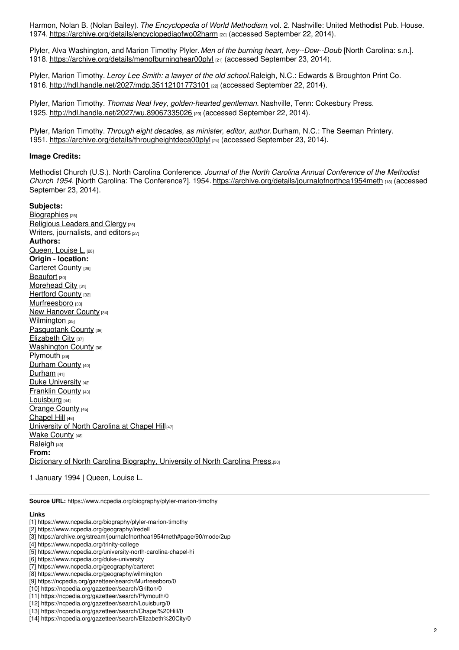Harmon, Nolan B. (Nolan Bailey). *The Encyclopedia of World Methodism*, vol. 2. Nashville: United Methodist Pub. House. 1974. <https://archive.org/details/encyclopediaofwo02harm> [20] (accessed September 22, 2014).

Plyler, Alva Washington, and Marion Timothy Plyler. *Men of the burning heart, Ivey--Dow--Doub*. [North Carolina: s.n.]. 1918. <https://archive.org/details/menofburninghear00plyl> [21] (accessed September 23, 2014).

Plyler, Marion Timothy. *Leroy Lee Smith: a lawyer of the old school.*Raleigh, N.C.: Edwards & Broughton Print Co. 1916. <http://hdl.handle.net/2027/mdp.35112101773101> [22] (accessed September 22, 2014).

Plyler, Marion Timothy. *Thomas Neal Ivey, golden-hearted gentleman.* Nashville, Tenn: Cokesbury Press. 1925. <http://hdl.handle.net/2027/wu.89067335026> [23] (accessed September 22, 2014).

Plyler, Marion Timothy. *Through eight decades, as minister, editor, author.*Durham, N.C.: The Seeman Printery. 1951. <https://archive.org/details/througheightdeca00plyl> [24] (accessed September 23, 2014).

#### **Image Credits:**

Methodist Church (U.S.). North Carolina Conference. *Journal of the North Carolina Annual Conference of the Methodist Church 1954.* [North Carolina: The Conference?]. 1954. <https://archive.org/details/journalofnorthca1954meth> [18] (accessed September 23, 2014).

**Subjects:** [Biographies](https://www.ncpedia.org/category/subjects/biography-term) [25] [Religious](https://www.ncpedia.org/category/subjects/clergy) Leaders and Clergy [26] Writers, [journalists,](https://www.ncpedia.org/category/subjects/writer) and editors [27] **Authors:** [Queen,](https://www.ncpedia.org/category/authors/queen-louise-l) Louise L. [28] **Origin - location:** [Carteret](https://www.ncpedia.org/category/origin-location/coastal-15) County [29] [Beaufort](https://www.ncpedia.org/category/origin-location/coastal-43) [30] [Morehead](https://www.ncpedia.org/category/origin-location/coastal-60) City [31] [Hertford](https://www.ncpedia.org/category/origin-location/coastal-32) County [32] [Murfreesboro](https://www.ncpedia.org/category/origin-location/coastal-57) [33] New [Hanover](https://www.ncpedia.org/category/origin-location/coastal--7) County [34] [Wilmington](https://www.ncpedia.org/category/origin-location/coastal-39) [35] [Pasquotank](https://www.ncpedia.org/category/origin-location/coastal-36) County [36] [Elizabeth](https://www.ncpedia.org/category/origin-location/coastal-47) City [37] **[Washington](https://www.ncpedia.org/category/origin-location/coastal-27) County [38]** [Plymouth](https://www.ncpedia.org/category/origin-location/plymouth) [39] [Durham](https://www.ncpedia.org/category/origin-location/piedmont/d) County [40] [Durham](https://www.ncpedia.org/category/origin-location/piedmont-8) [41] Duke [University](https://www.ncpedia.org/category/origin-location/piedmon-34) [42] [Franklin](https://www.ncpedia.org/category/origin-location/piedmont/f) County [43] [Louisburg](https://www.ncpedia.org/category/origin-location/piedmon-53) [44] [Orange](https://www.ncpedia.org/category/origin-location/piedmont/o) County [45] [Chapel](https://www.ncpedia.org/category/origin-location/piedmont-5) Hill [46] [University](https://www.ncpedia.org/category/origin-location/piedmon-33) of North Carolina at Chapel Hill[47] **Wake [County](https://www.ncpedia.org/category/origin-location/piedmont/w) [48]** [Raleigh](https://www.ncpedia.org/category/origin-location/piedmont-0) [49] **From:** Dictionary of North Carolina [Biography,](https://www.ncpedia.org/category/entry-source/dictionary-no) University of North Carolina Press.[50]

1 January 1994 | Queen, Louise L.

**Source URL:** https://www.ncpedia.org/biography/plyler-marion-timothy

#### **Links**

- [11] https://ncpedia.org/gazetteer/search/Plymouth/0
- [12] https://ncpedia.org/gazetteer/search/Louisburg/0

<sup>[1]</sup> https://www.ncpedia.org/biography/plyler-marion-timothy

<sup>[2]</sup> https://www.ncpedia.org/geography/iredell

<sup>[3]</sup> https://archive.org/stream/journalofnorthca1954meth#page/90/mode/2up

<sup>[4]</sup> https://www.ncpedia.org/trinity-college

<sup>[5]</sup> https://www.ncpedia.org/university-north-carolina-chapel-hi

<sup>[6]</sup> https://www.ncpedia.org/duke-university

<sup>[7]</sup> https://www.ncpedia.org/geography/carteret

<sup>[8]</sup> https://www.ncpedia.org/geography/wilmington

<sup>[9]</sup> https://ncpedia.org/gazetteer/search/Murfreesboro/0

<sup>[10]</sup> https://ncpedia.org/gazetteer/search/Grifton/0

<sup>[13]</sup> https://ncpedia.org/gazetteer/search/Chapel%20Hill/0

<sup>[14]</sup> https://ncpedia.org/gazetteer/search/Elizabeth%20City/0